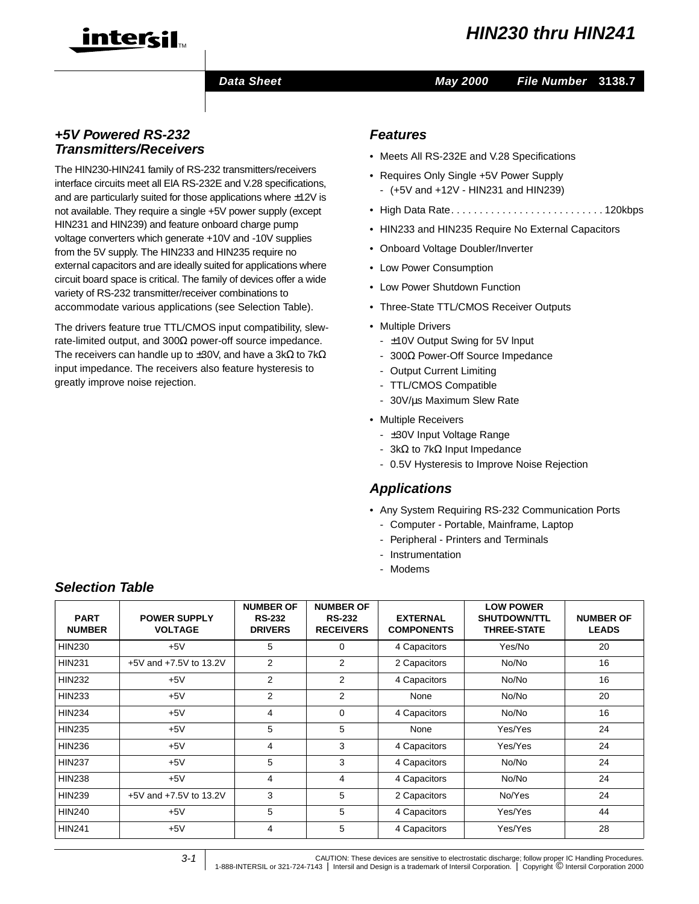

#### **Data Sheet May 2000**

#### **File Number 3138.7**

#### **+5V Powered RS-232 Transmitters/Receivers**

The HIN230-HIN241 family of RS-232 transmitters/receivers interface circuits meet all ElA RS-232E and V.28 specifications, and are particularly suited for those applications where  $\pm 12V$  is not available. They require a single +5V power supply (except HIN231 and HIN239) and feature onboard charge pump voltage converters which generate +10V and -10V supplies from the 5V supply. The HIN233 and HIN235 require no external capacitors and are ideally suited for applications where circuit board space is critical. The family of devices offer a wide variety of RS-232 transmitter/receiver combinations to accommodate various applications (see Selection Table).

The drivers feature true TTL/CMOS input compatibility, slewrate-limited output, and 300Ω power-off source impedance. The receivers can handle up to  $\pm 30$ V, and have a 3kΩ to 7kΩ input impedance. The receivers also feature hysteresis to greatly improve noise rejection.

#### **Features**

- Meets All RS-232E and V.28 Specifications
- Requires Only Single +5V Power Supply - (+5V and +12V - HIN231 and HIN239)
- High Data Rate. . . . . . . . . . . . . . . . . . . . . . . . . . . 120kbps
- HIN233 and HIN235 Require No External Capacitors
- Onboard Voltage Doubler/Inverter
- Low Power Consumption
- Low Power Shutdown Function
- Three-State TTL/CMOS Receiver Outputs
- Multiple Drivers
	- ±10V Output Swing for 5V lnput
	- 300Ω Power-Off Source Impedance
	- Output Current Limiting
	- TTL/CMOS Compatible
	- 30V/µs Maximum Slew Rate
- Multiple Receivers
	- ±30V Input Voltage Range
	- 3kΩ to 7kΩ Input Impedance
	- 0.5V Hysteresis to Improve Noise Rejection

#### **Applications**

- Any System Requiring RS-232 Communication Ports
	- Computer Portable, Mainframe, Laptop
	- Peripheral Printers and Terminals
	- Instrumentation
	- Modems

#### **Selection Table**

| <b>PART</b><br><b>NUMBER</b> | <b>POWER SUPPLY</b><br><b>VOLTAGE</b> | <b>NUMBER OF</b><br><b>RS-232</b><br><b>DRIVERS</b> | <b>NUMBER OF</b><br><b>RS-232</b><br><b>RECEIVERS</b> | <b>EXTERNAL</b><br><b>COMPONENTS</b> | <b>LOW POWER</b><br><b>SHUTDOWN/TTL</b><br><b>THREE-STATE</b> | <b>NUMBER OF</b><br><b>LEADS</b> |
|------------------------------|---------------------------------------|-----------------------------------------------------|-------------------------------------------------------|--------------------------------------|---------------------------------------------------------------|----------------------------------|
| <b>HIN230</b>                | $+5V$                                 | 5                                                   | 0                                                     | 4 Capacitors                         | Yes/No                                                        | 20                               |
| <b>HIN231</b>                | +5V and +7.5V to 13.2V                | $\overline{2}$                                      | 2                                                     | 2 Capacitors                         | No/No                                                         | 16                               |
| <b>HIN232</b>                | $+5V$                                 | 2                                                   | 2                                                     | 4 Capacitors                         | No/No                                                         | 16                               |
| <b>HIN233</b>                | $+5V$                                 | $\overline{2}$                                      | $\overline{2}$                                        | None                                 | No/No                                                         | 20                               |
| <b>HIN234</b>                | $+5V$                                 | 4                                                   | 0                                                     | 4 Capacitors                         | No/No                                                         | 16                               |
| <b>HIN235</b>                | $+5V$                                 | 5                                                   | 5                                                     | None                                 | Yes/Yes                                                       | 24                               |
| <b>HIN236</b>                | $+5V$                                 | $\overline{4}$                                      | 3                                                     | 4 Capacitors                         | Yes/Yes                                                       | 24                               |
| <b>HIN237</b>                | $+5V$                                 | 5                                                   | 3                                                     | 4 Capacitors                         | No/No                                                         | 24                               |
| <b>HIN238</b>                | $+5V$                                 | 4                                                   | 4                                                     | 4 Capacitors                         | No/No                                                         | 24                               |
| <b>HIN239</b>                | +5V and +7.5V to 13.2V                | 3                                                   | 5                                                     | 2 Capacitors                         | No/Yes                                                        | 24                               |
| <b>HIN240</b>                | $+5V$                                 | 5                                                   | 5                                                     | 4 Capacitors                         | Yes/Yes                                                       | 44                               |
| <b>HIN241</b>                | $+5V$                                 | 4                                                   | 5                                                     | 4 Capacitors                         | Yes/Yes                                                       | 28                               |

3-1

CAUTION: These devices are sensitive to electrostatic discharge; follow proper IC Handling Procedures.<br>2000 1-888-INTERSIL or 321-724-7143 | Intersil and Design is a trademark of Intersil Corporation. | Copyright © Intersi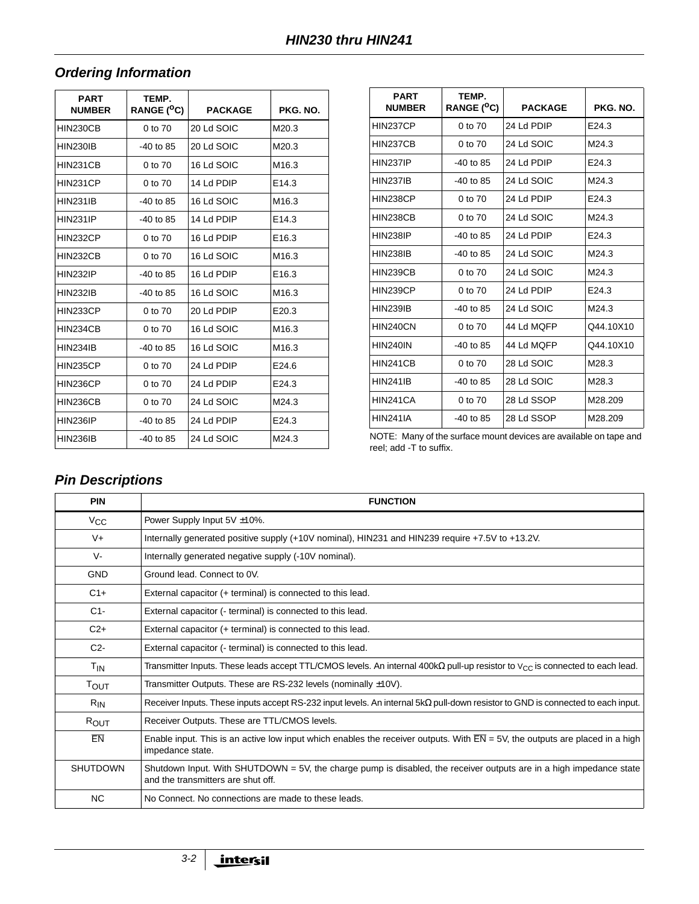# **Ordering Information**

| <b>PART</b>     | TEMP.             |                |                   |
|-----------------|-------------------|----------------|-------------------|
| <b>NUMBER</b>   | <b>RANGE (°C)</b> | <b>PACKAGE</b> | PKG. NO.          |
| <b>HIN230CB</b> | 0 to 70           | 20 Ld SOIC     | M20.3             |
| <b>HIN230IB</b> | $-40$ to 85       | 20 Ld SOIC     | M20.3             |
| HIN231CB        | 0 to 70           | 16 Ld SOIC     | M <sub>16.3</sub> |
| HIN231CP        | 0 to 70           | 14 Ld PDIP     | E14.3             |
| <b>HIN231IB</b> | $-40$ to 85       | 16 Ld SOIC     | M <sub>16.3</sub> |
| <b>HIN231IP</b> | $-40$ to 85       | 14 Ld PDIP     | E14.3             |
| <b>HIN232CP</b> | 0 to 70           | 16 Ld PDIP     | E <sub>16.3</sub> |
| <b>HIN232CB</b> | 0 to 70           | 16 Ld SOIC     | M <sub>16.3</sub> |
| <b>HIN232IP</b> | $-40$ to 85       | 16 Ld PDIP     | E <sub>16.3</sub> |
| <b>HIN232IB</b> | $-40$ to 85       | 16 Ld SOIC     | M <sub>16.3</sub> |
| HIN233CP        | 0 to 70           | 20 Ld PDIP     | E20.3             |
| HIN234CB        | 0 to 70           | 16 Ld SOIC     | M <sub>16.3</sub> |
| <b>HIN234IB</b> | $-40$ to 85       | 16 Ld SOIC     | M <sub>16.3</sub> |
| <b>HIN235CP</b> | 0 to 70           | 24 Ld PDIP     | E24.6             |
| <b>HIN236CP</b> | 0 to 70           | 24 Ld PDIP     | E24.3             |
| HIN236CB        | 0 to 70           | 24 Ld SOIC     | M24.3             |
| <b>HIN236IP</b> | $-40$ to 85       | 24 Ld PDIP     | E24.3             |
| <b>HIN236IB</b> | $-40$ to 85       | 24 Ld SOIC     | M24.3             |

| <b>PART</b><br><b>NUMBER</b> | TEMP.<br>RANGE ( <sup>O</sup> C) | <b>PACKAGE</b> | PKG. NO.  |
|------------------------------|----------------------------------|----------------|-----------|
| HIN237CP                     | 0 to 70                          | 24 Ld PDIP     | E24.3     |
| HIN237CB                     | 0 to 70                          | 24 Ld SOIC     | M24.3     |
| <b>HIN237IP</b>              | $-40$ to 85                      | 24 Ld PDIP     | E24.3     |
| <b>HIN237IB</b>              | $-40$ to 85                      | 24 Ld SOIC     | M24.3     |
| <b>HIN238CP</b>              | 0 to 70                          | 24 Ld PDIP     | E24.3     |
| <b>HIN238CB</b>              | 0 to 70                          | 24 Ld SOIC     | M24.3     |
| <b>HIN238IP</b>              | $-40$ to 85                      | 24 Ld PDIP     | E24.3     |
| <b>HIN238IB</b>              | $-40$ to 85                      | 24 Ld SOIC     | M24.3     |
| <b>HIN239CB</b>              | 0 to 70                          | 24 Ld SOIC     | M24.3     |
| <b>HIN239CP</b>              | 0 to 70                          | 24 Ld PDIP     | E24.3     |
| <b>HIN239IB</b>              | $-40$ to 85                      | 24 Ld SOIC     | M24.3     |
| <b>HIN240CN</b>              | 0 to 70                          | 44 Ld MQFP     | Q44.10X10 |
| <b>HIN240IN</b>              | $-40$ to 85                      | 44 Ld MQFP     | Q44.10X10 |
| HIN241CB                     | 0 to 70                          | 28 Ld SOIC     | M28.3     |
| <b>HIN241IB</b>              | $-40$ to 85                      | 28 Ld SOIC     | M28.3     |
| HIN241CA                     | 0 to 70                          | 28 Ld SSOP     | M28.209   |
| <b>HIN241IA</b>              | $-40$ to 85                      | 28 Ld SSOP     | M28.209   |

NOTE: Many of the surface mount devices are available on tape and reel; add -T to suffix.

# **Pin Descriptions**

| <b>PIN</b>            | <b>FUNCTION</b>                                                                                                                                               |
|-----------------------|---------------------------------------------------------------------------------------------------------------------------------------------------------------|
| $V_{\rm CC}$          | Power Supply Input 5V ±10%.                                                                                                                                   |
| $V +$                 | Internally generated positive supply (+10V nominal), HIN231 and HIN239 require +7.5V to +13.2V.                                                               |
| $V -$                 | Internally generated negative supply (-10V nominal).                                                                                                          |
| <b>GND</b>            | Ground lead. Connect to 0V.                                                                                                                                   |
| $C1+$                 | External capacitor (+ terminal) is connected to this lead.                                                                                                    |
| $C1-$                 | External capacitor (- terminal) is connected to this lead.                                                                                                    |
| $C2+$                 | External capacitor (+ terminal) is connected to this lead.                                                                                                    |
| $C2-$                 | External capacitor (- terminal) is connected to this lead.                                                                                                    |
| T <sub>IN</sub>       | Transmitter Inputs. These leads accept TTL/CMOS levels. An internal 400k $\Omega$ pull-up resistor to $V_{CC}$ is connected to each lead.                     |
| $\tau_{\mathsf{OUT}}$ | Transmitter Outputs. These are RS-232 levels (nominally $\pm$ 10V).                                                                                           |
| $R_{IN}$              | Receiver Inputs. These inputs accept RS-232 input levels. An internal $5k\Omega$ pull-down resistor to GND is connected to each input.                        |
| ROUT                  | Receiver Outputs. These are TTL/CMOS levels.                                                                                                                  |
| EN                    | Enable input. This is an active low input which enables the receiver outputs. With $\overline{EN}$ = 5V, the outputs are placed in a high<br>impedance state. |
| <b>SHUTDOWN</b>       | Shutdown Input. With SHUTDOWN = 5V, the charge pump is disabled, the receiver outputs are in a high impedance state<br>and the transmitters are shut off.     |
| <b>NC</b>             | No Connect. No connections are made to these leads.                                                                                                           |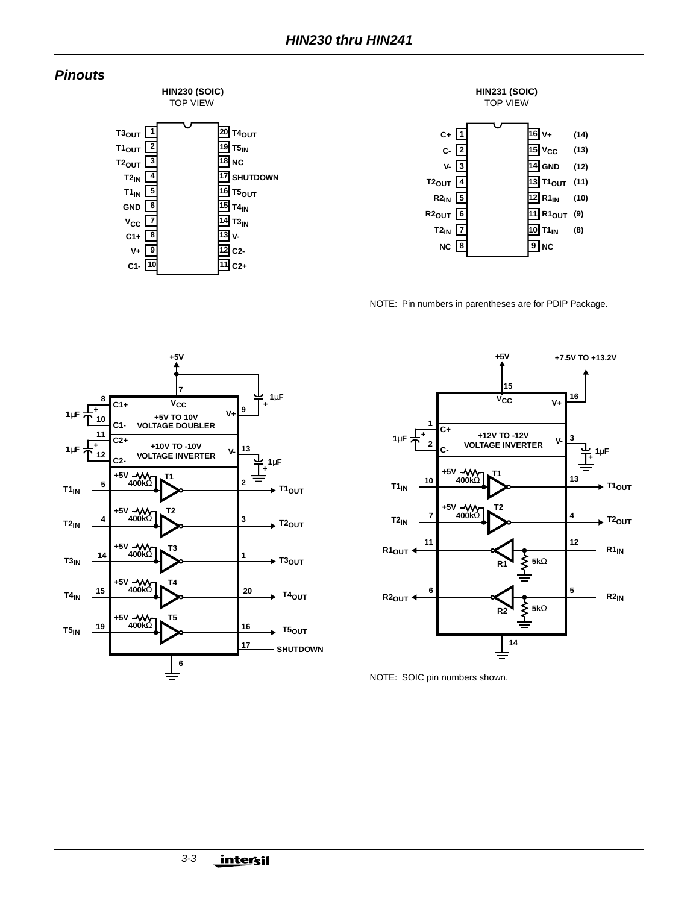#### **Pinouts**



**T3IN 14 V-13 C2- 12 11 C2+**

**C1+ VCC**

> **V+ C1-**



NOTE: Pin numbers in parentheses are for PDIP Package.





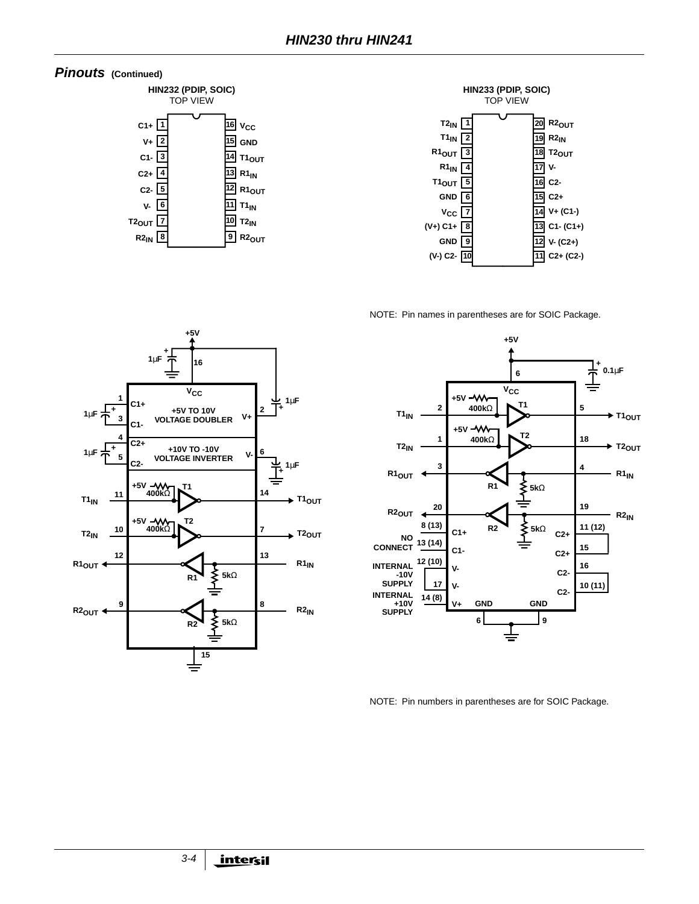





NOTE: Pin names in parentheses are for SOIC Package.





NOTE: Pin numbers in parentheses are for SOIC Package.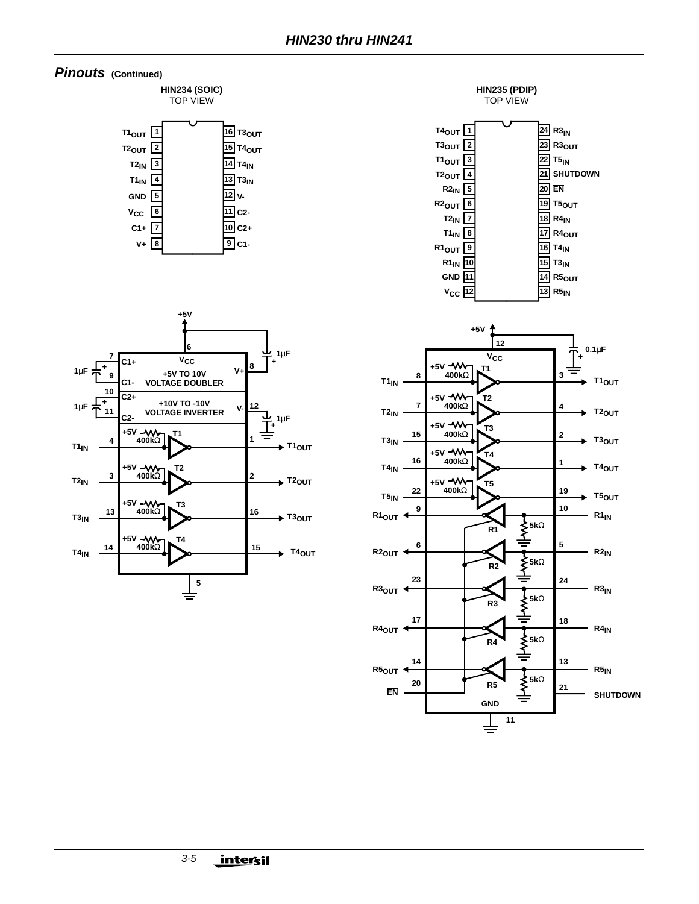#### **Pinouts (Continued)**

**HIN234 (SOIC)** TOP VIEW





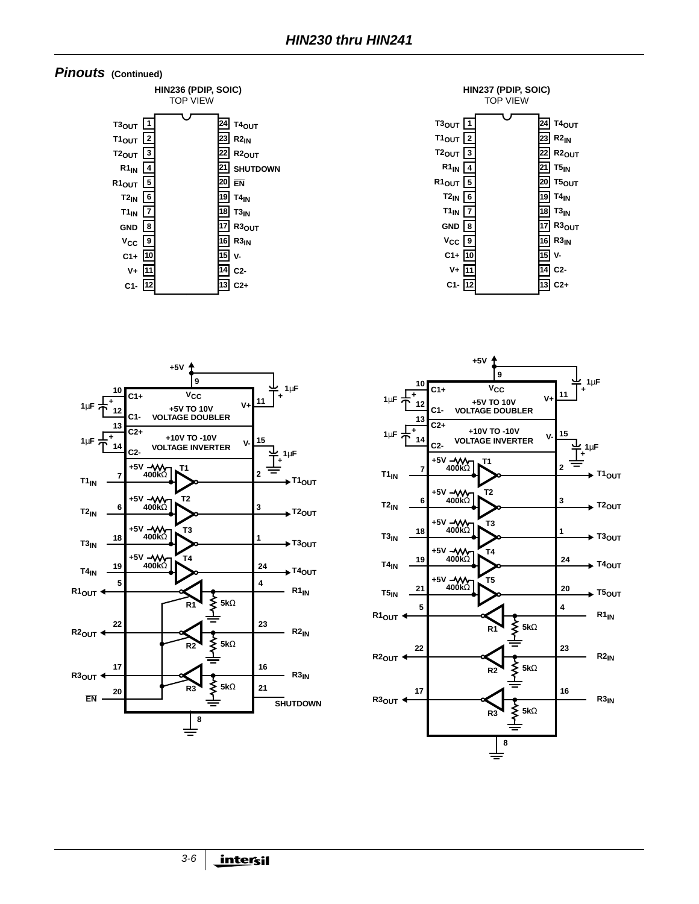







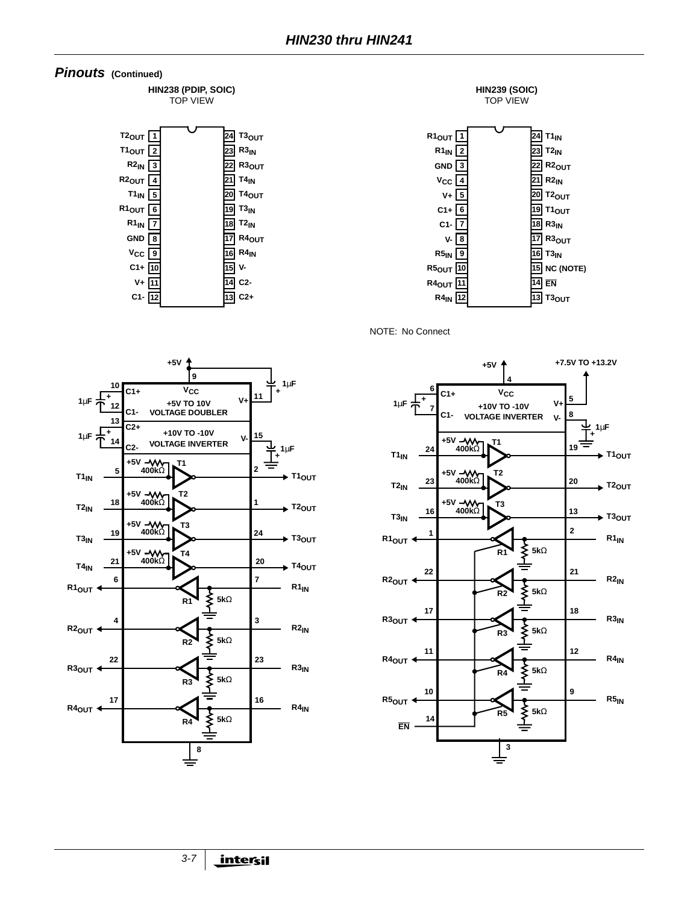

**HIN238 (PDIP, SOIC)** TOP VIEW





NOTE: No Connect



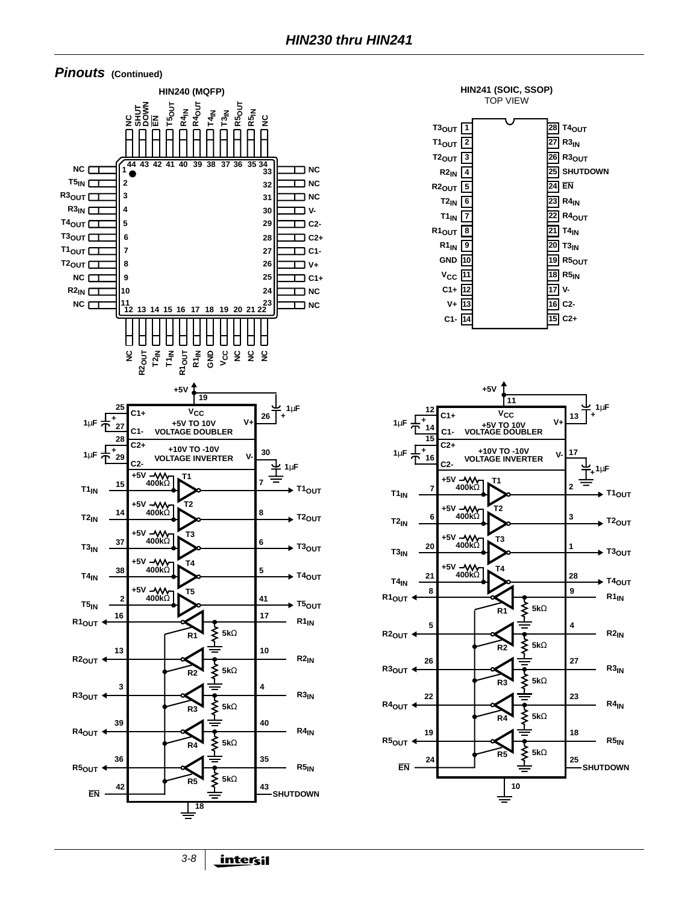#### **Pinouts (Continued)**





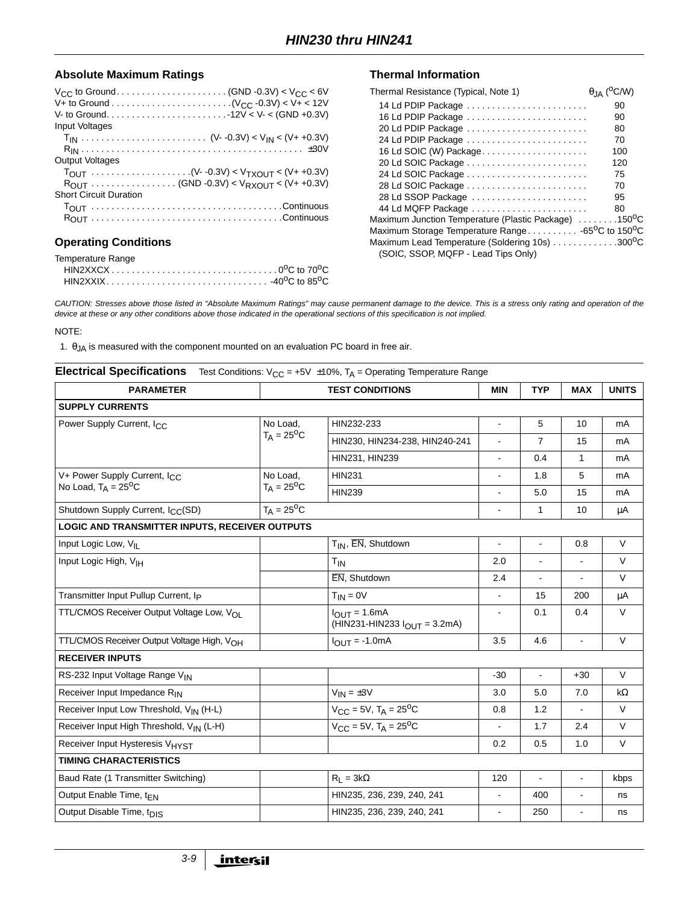#### Absolute Maximum Ratings **Thermal Information**

| <b>Input Voltages</b>                            |  |
|--------------------------------------------------|--|
|                                                  |  |
|                                                  |  |
| <b>Output Voltages</b>                           |  |
|                                                  |  |
| $R_{OUT}$ (GND -0.3V) < $V_{RXOUT}$ < (V+ +0.3V) |  |
| <b>Short Circuit Duration</b>                    |  |
|                                                  |  |
|                                                  |  |
|                                                  |  |

#### **Operating Conditions**

| Temperature Range |  |
|-------------------|--|
|                   |  |
|                   |  |

| Thermal Resistance (Typical, Note 1)                                       | $\theta$ <sub>JA</sub> ( <sup>O</sup> C/W) |
|----------------------------------------------------------------------------|--------------------------------------------|
| 14 Ld PDIP Package                                                         | 90                                         |
| 16 Ld PDIP Package                                                         | 90                                         |
| 20 Ld PDIP Package                                                         | 80                                         |
| 24 Ld PDIP Package                                                         | 70                                         |
| 16 Ld SOIC (W) Package                                                     | 100                                        |
|                                                                            | 120                                        |
|                                                                            | 75                                         |
| 28 Ld SOIC Package                                                         | 70                                         |
| 28 Ld SSOP Package                                                         | 95                                         |
| 44 Ld MQFP Package                                                         | 80                                         |
| Maximum Junction Temperature (Plastic Package) 150°C                       |                                            |
| Maximum Storage Temperature Range -65 <sup>o</sup> C to 150 <sup>o</sup> C |                                            |
| Maximum Lead Temperature (Soldering 10s) 300°C                             |                                            |
| (SOIC, SSOP, MQFP - Lead Tips Only)                                        |                                            |

CAUTION: Stresses above those listed in "Absolute Maximum Ratings" may cause permanent damage to the device. This is a stress only rating and operation of the device at these or any other conditions above those indicated in the operational sections of this specification is not implied.

NOTE:

1.  $\theta_{JA}$  is measured with the component mounted on an evaluation PC board in free air.

| <b>Electrical Specifications</b>                                         |                           | Test Conditions: $V_{CC}$ = +5V $\pm$ 10%, T <sub>A</sub> = Operating Temperature Range |                |                |                |              |
|--------------------------------------------------------------------------|---------------------------|-----------------------------------------------------------------------------------------|----------------|----------------|----------------|--------------|
| <b>PARAMETER</b>                                                         | <b>TEST CONDITIONS</b>    |                                                                                         | <b>MIN</b>     | <b>TYP</b>     | <b>MAX</b>     | <b>UNITS</b> |
| <b>SUPPLY CURRENTS</b>                                                   |                           |                                                                                         |                |                |                |              |
| Power Supply Current, I <sub>CC</sub>                                    | No Load,                  | HIN232-233                                                                              | $\overline{a}$ | 5              | 10             | mA           |
|                                                                          | $T_A = 25^{\circ}C$       | HIN230, HIN234-238, HIN240-241                                                          | $\blacksquare$ | $\overline{7}$ | 15             | mA           |
|                                                                          |                           | HIN231, HIN239                                                                          | $\overline{a}$ | 0.4            | $\mathbf{1}$   | mA           |
| V+ Power Supply Current, I <sub>CC</sub><br>No Load, $T_A = 25^{\circ}C$ | No Load,                  | <b>HIN231</b>                                                                           | $\blacksquare$ | 1.8            | 5              | mA           |
|                                                                          | $T_A = 25$ <sup>o</sup> C | <b>HIN239</b>                                                                           |                | 5.0            | 15             | mA           |
| Shutdown Supply Current, I <sub>CC</sub> (SD)                            | $T_A = 25$ <sup>o</sup> C |                                                                                         |                | $\mathbf{1}$   | 10             | μA           |
| LOGIC AND TRANSMITTER INPUTS, RECEIVER OUTPUTS                           |                           |                                                                                         |                |                |                |              |
| Input Logic Low, VII                                                     |                           | $T_{IN}$ , $\overline{EN}$ , Shutdown                                                   | $\blacksquare$ | $\overline{a}$ | 0.8            | $\vee$       |
| Input Logic High, V <sub>IH</sub>                                        |                           | $T_{IN}$                                                                                | 2.0            | ä,             | $\blacksquare$ | V            |
|                                                                          |                           | EN, Shutdown                                                                            | 2.4            | $\blacksquare$ |                | V            |
| Transmitter Input Pullup Current, Ip                                     |                           | $T_{IN} = 0V$                                                                           | $\blacksquare$ | 15             | 200            | μA           |
| TTL/CMOS Receiver Output Voltage Low, V <sub>OL</sub>                    |                           | $I_{OUIT} = 1.6mA$<br>(HIN231-HIN233 $I_{\text{OUT}} = 3.2 \text{mA}$ )                 | $\blacksquare$ | 0.1            | 0.4            | $\vee$       |
| TTL/CMOS Receiver Output Voltage High, VOH                               |                           | $I_{OUT} = -1.0mA$                                                                      | 3.5            | 4.6            | $\blacksquare$ | $\vee$       |
| <b>RECEIVER INPUTS</b>                                                   |                           |                                                                                         |                |                |                |              |
| RS-232 Input Voltage Range VIN                                           |                           |                                                                                         | $-30$          | ÷,             | $+30$          | $\vee$       |
| Receiver Input Impedance RIN                                             |                           | $V_{IN} = \pm 3V$                                                                       | 3.0            | 5.0            | 7.0            | $k\Omega$    |
| Receiver Input Low Threshold, V <sub>IN</sub> (H-L)                      |                           | $V_{CC} = 5V$ , $T_A = 25^{\circ}C$                                                     | 0.8            | 1.2            | $\blacksquare$ | $\vee$       |
| Receiver Input High Threshold, V <sub>IN</sub> (L-H)                     |                           | $V_{CC} = 5V$ , T <sub>A</sub> = 25 <sup>o</sup> C                                      |                | 1.7            | 2.4            | V            |
| Receiver Input Hysteresis V <sub>HYST</sub>                              |                           |                                                                                         | 0.2            | 0.5            | 1.0            | V            |
| <b>TIMING CHARACTERISTICS</b>                                            |                           |                                                                                         |                |                |                |              |
| Baud Rate (1 Transmitter Switching)                                      |                           | $R_1 = 3k\Omega$                                                                        | 120            | $\blacksquare$ | $\blacksquare$ | kbps         |
| Output Enable Time, t <sub>EN</sub>                                      |                           | HIN235, 236, 239, 240, 241                                                              | $\blacksquare$ | 400            | $\blacksquare$ | ns           |
| Output Disable Time, t <sub>DIS</sub>                                    |                           | HIN235, 236, 239, 240, 241                                                              |                | 250            | $\blacksquare$ | ns           |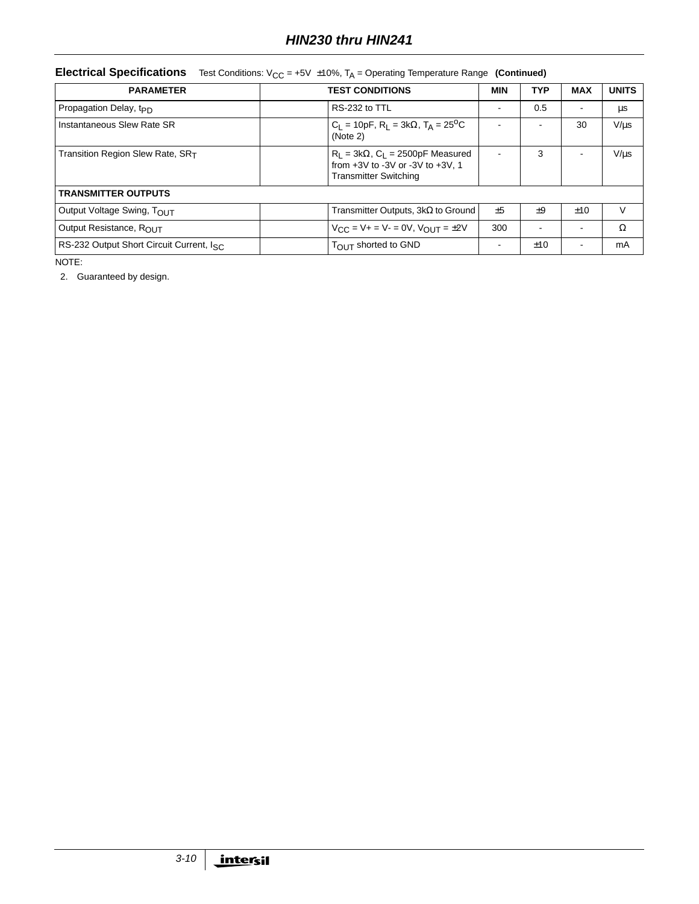|  |  | <b>Electrical Specifications</b> Test Conditions: $V_{CC}$ = +5V $\pm 10\%$ , T <sub>A</sub> = Operating Temperature Range (Continued) |  |
|--|--|----------------------------------------------------------------------------------------------------------------------------------------|--|
|--|--|----------------------------------------------------------------------------------------------------------------------------------------|--|

| <b>PARAMETER</b>                                                                                                                                            | <b>TEST CONDITIONS</b>                                       |                          | <b>TYP</b> | <b>MAX</b> | <b>UNITS</b> |  |
|-------------------------------------------------------------------------------------------------------------------------------------------------------------|--------------------------------------------------------------|--------------------------|------------|------------|--------------|--|
| Propagation Delay, t <sub>PD</sub>                                                                                                                          | RS-232 to TTL                                                | $\overline{\phantom{a}}$ | 0.5        |            | μs           |  |
| Instantaneous Slew Rate SR                                                                                                                                  | $C_1 = 10pF$ , $R_1 = 3k\Omega$ , $T_A = 25^0C$<br>(Note 2)  |                          | ÷          | 30         | $V/\mu s$    |  |
| Transition Region Slew Rate, SRT<br>$R_1 = 3k\Omega$ , $C_1 = 2500pF$ Measured<br>from $+3V$ to $-3V$ or $-3V$ to $+3V$ , 1<br><b>Transmitter Switching</b> |                                                              |                          | 3          |            | $V/\mu s$    |  |
| <b>TRANSMITTER OUTPUTS</b>                                                                                                                                  |                                                              |                          |            |            |              |  |
| Output Voltage Swing, TOUT                                                                                                                                  | Transmitter Outputs, $3k\Omega$ to Ground                    | $+5$                     | $+9$       | ±10        | $\vee$       |  |
| Output Resistance, ROUT                                                                                                                                     | $V_{\text{CC}} = V + = V - = 0V$ , $V_{\text{OUT}} = \pm 2V$ | 300                      |            |            | Ω            |  |
| RS-232 Output Short Circuit Current, Isc.                                                                                                                   | TOUT shorted to GND                                          | $\overline{\phantom{a}}$ | ±10        |            | mA           |  |

NOTE:

2. Guaranteed by design.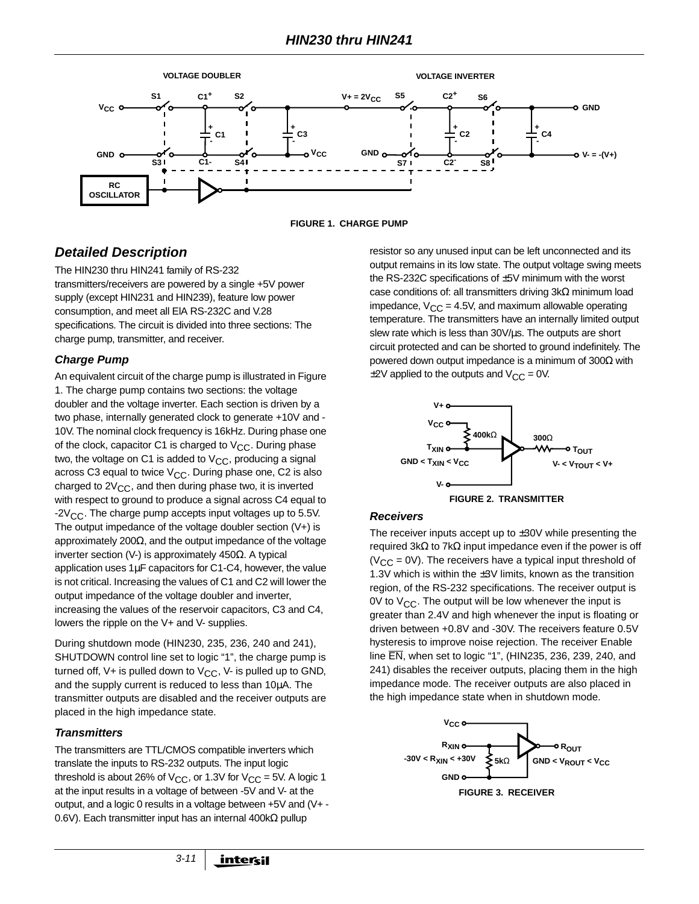



## **Detailed Description**

The HIN230 thru HIN241 family of RS-232 transmitters/receivers are powered by a single +5V power supply (except HIN231 and HIN239), feature low power consumption, and meet all ElA RS-232C and V.28 specifications. The circuit is divided into three sections: The charge pump, transmitter, and receiver.

#### **Charge Pump**

An equivalent circuit of the charge pump is illustrated in Figure 1. The charge pump contains two sections: the voltage doubler and the voltage inverter. Each section is driven by a two phase, internally generated clock to generate +10V and - 10V. The nominal clock frequency is 16kHz. During phase one of the clock, capacitor C1 is charged to  $V_{CC}$ . During phase two, the voltage on C1 is added to  $V_{CC}$ , producing a signal across C3 equal to twice  $V_{CC}$ . During phase one, C2 is also charged to  $2V_{CC}$ , and then during phase two, it is inverted with respect to ground to produce a signal across C4 equal to  $-2V_{CC}$ . The charge pump accepts input voltages up to 5.5V. The output impedance of the voltage doubler section (V+) is approximately 200 $\Omega$ , and the output impedance of the voltage inverter section (V-) is approximately 450Ω. A typical application uses 1µF capacitors for C1-C4, however, the value is not critical. Increasing the values of C1 and C2 will lower the output impedance of the voltage doubler and inverter, increasing the values of the reservoir capacitors, C3 and C4, lowers the ripple on the V+ and V- supplies.

During shutdown mode (HIN230, 235, 236, 240 and 241), SHUTDOWN control line set to logic "1", the charge pump is turned off, V+ is pulled down to  $V_{CC}$ , V- is pulled up to GND, and the supply current is reduced to less than 10µA. The transmitter outputs are disabled and the receiver outputs are placed in the high impedance state.

#### **Transmitters**

The transmitters are TTL/CMOS compatible inverters which translate the inputs to RS-232 outputs. The input logic threshold is about 26% of  $V_{CC}$ , or 1.3V for  $V_{CC} = 5V$ . A logic 1 at the input results in a voltage of between -5V and V- at the output, and a logic 0 results in a voltage between +5V and (V+ - 0.6V). Each transmitter input has an internal 400kΩ pullup

resistor so any unused input can be left unconnected and its output remains in its low state. The output voltage swing meets the RS-232C specifications of ±5V minimum with the worst case conditions of: all transmitters driving 3kΩ minimum load impedance,  $V_{CC} = 4.5V$ , and maximum allowable operating temperature. The transmitters have an internally limited output slew rate which is less than 30V/us. The outputs are short circuit protected and can be shorted to ground indefinitely. The powered down output impedance is a minimum of  $300Ω$  with  $\pm$ 2V applied to the outputs and V<sub>CC</sub> = 0V.





#### **Receivers**

The receiver inputs accept up to  $\pm 30V$  while presenting the required 3kΩ to 7kΩ input impedance even if the power is off  $(V_{CC} = 0V)$ . The receivers have a typical input threshold of 1.3V which is within the  $\pm 3V$  limits, known as the transition region, of the RS-232 specifications. The receiver output is 0V to  $V_{CC}$ . The output will be low whenever the input is greater than 2.4V and high whenever the input is floating or driven between +0.8V and -30V. The receivers feature 0.5V hysteresis to improve noise rejection. The receiver Enable line EN, when set to logic "1", (HIN235, 236, 239, 240, and 241) disables the receiver outputs, placing them in the high impedance mode. The receiver outputs are also placed in the high impedance state when in shutdown mode.

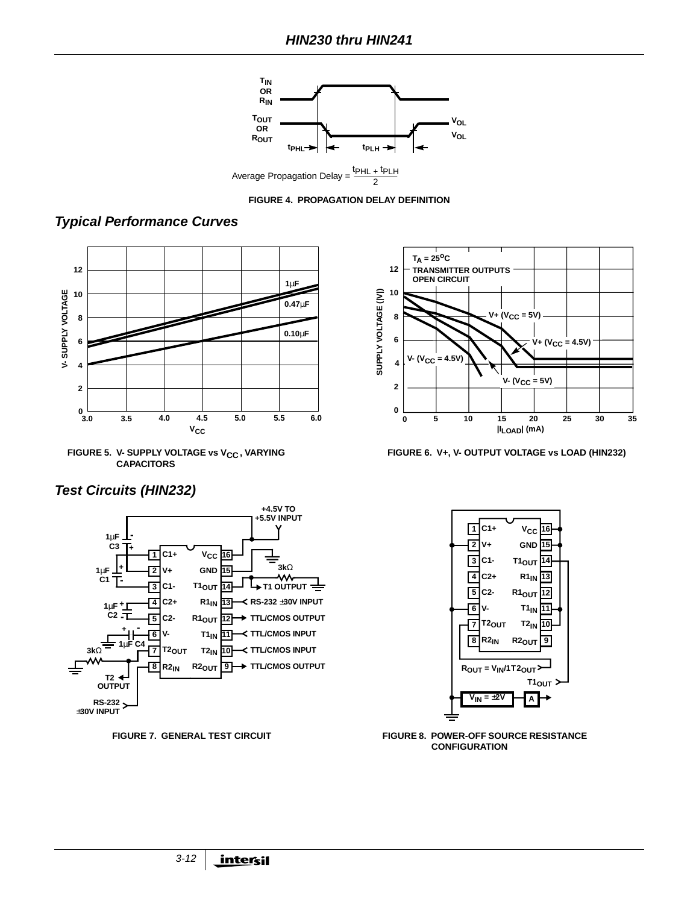



**Typical Performance Curves**











**FIGURE 6. V+, V- OUTPUT VOLTAGE vs LOAD (HIN232)**



**FIGURE 7. GENERAL TEST CIRCUIT FIGURE 8. POWER-OFF SOURCE RESISTANCE CONFIGURATION**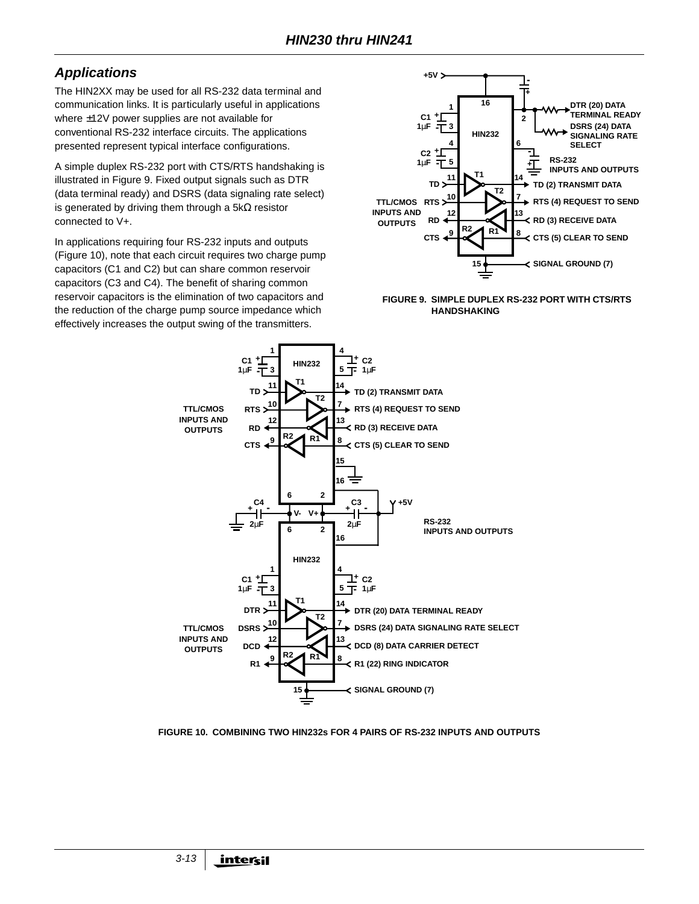# **Applications**

The HIN2XX may be used for all RS-232 data terminal and communication links. It is particularly useful in applications where ±12V power supplies are not available for conventional RS-232 interface circuits. The applications presented represent typical interface configurations.

A simple duplex RS-232 port with CTS/RTS handshaking is illustrated in Figure 9. Fixed output signals such as DTR (data terminal ready) and DSRS (data signaling rate select) is generated by driving them through a 5kΩ resistor connected to V+.

In applications requiring four RS-232 inputs and outputs (Figure 10), note that each circuit requires two charge pump capacitors (C1 and C2) but can share common reservoir capacitors (C3 and C4). The benefit of sharing common reservoir capacitors is the elimination of two capacitors and the reduction of the charge pump source impedance which effectively increases the output swing of the transmitters.







#### **FIGURE 10. COMBINING TWO HIN232s FOR 4 PAIRS OF RS-232 INPUTS AND OUTPUTS**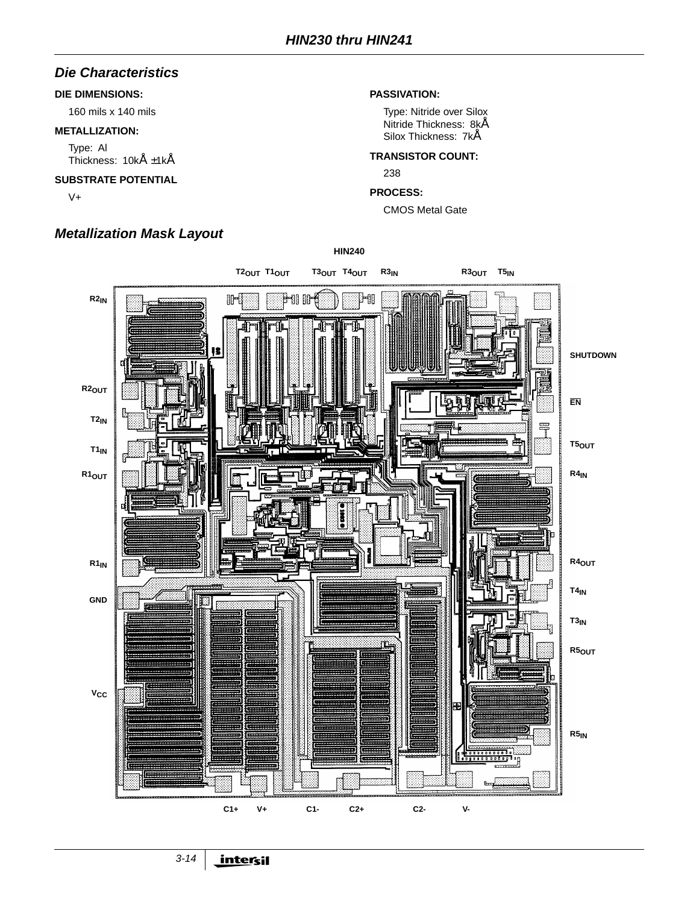### **Die Characteristics**

#### **DIE DIMENSIONS:**

160 mils x 140 mils

#### **METALLIZATION:**

Type: Al Thickness: 10kÅ ±1kÅ

#### **SUBSTRATE POTENTIAL**

V+

# **Metallization Mask Layout**

#### **PASSIVATION:**

Type: Nitride over Silox Nitride Thickness: 8kÅ Silox Thickness: 7kÅ

#### **TRANSISTOR COUNT:**

238

#### **PROCESS:**

CMOS Metal Gate